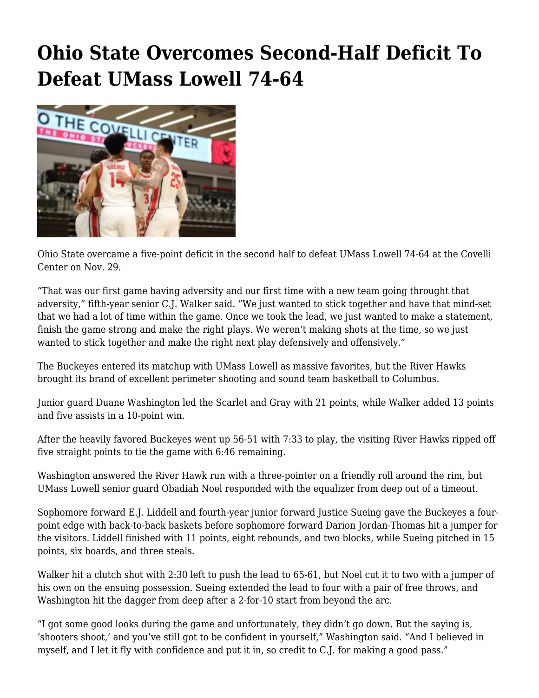## **[Ohio State Overcomes Second-Half Deficit To](https://www.buckeyesports.com/ohio-state-overcomes-second-half-deficit-to-defeat-umass-lowell-74-64/) [Defeat UMass Lowell 74-64](https://www.buckeyesports.com/ohio-state-overcomes-second-half-deficit-to-defeat-umass-lowell-74-64/)**



Ohio State overcame a five-point deficit in the second half to defeat UMass Lowell 74-64 at the Covelli Center on Nov. 29.

"That was our first game having adversity and our first time with a new team going throught that adversity," fifth-year senior C.J. Walker said. "We just wanted to stick together and have that mind-set that we had a lot of time within the game. Once we took the lead, we just wanted to make a statement, finish the game strong and make the right plays. We weren't making shots at the time, so we just wanted to stick together and make the right next play defensively and offensively."

The Buckeyes entered its matchup with UMass Lowell as massive favorites, but the River Hawks brought its brand of excellent perimeter shooting and sound team basketball to Columbus.

Junior guard Duane Washington led the Scarlet and Gray with 21 points, while Walker added 13 points and five assists in a 10-point win.

After the heavily favored Buckeyes went up 56-51 with 7:33 to play, the visiting River Hawks ripped off five straight points to tie the game with 6:46 remaining.

Washington answered the River Hawk run with a three-pointer on a friendly roll around the rim, but UMass Lowell senior guard Obadiah Noel responded with the equalizer from deep out of a timeout.

Sophomore forward E.J. Liddell and fourth-year junior forward Justice Sueing gave the Buckeyes a fourpoint edge with back-to-back baskets before sophomore forward Darion Jordan-Thomas hit a jumper for the visitors. Liddell finished with 11 points, eight rebounds, and two blocks, while Sueing pitched in 15 points, six boards, and three steals.

Walker hit a clutch shot with 2:30 left to push the lead to 65-61, but Noel cut it to two with a jumper of his own on the ensuing possession. Sueing extended the lead to four with a pair of free throws, and Washington hit the dagger from deep after a 2-for-10 start from beyond the arc.

"I got some good looks during the game and unfortunately, they didn't go down. But the saying is, 'shooters shoot,' and you've still got to be confident in yourself," Washington said. "And I believed in myself, and I let it fly with confidence and put it in, so credit to C.J. for making a good pass."